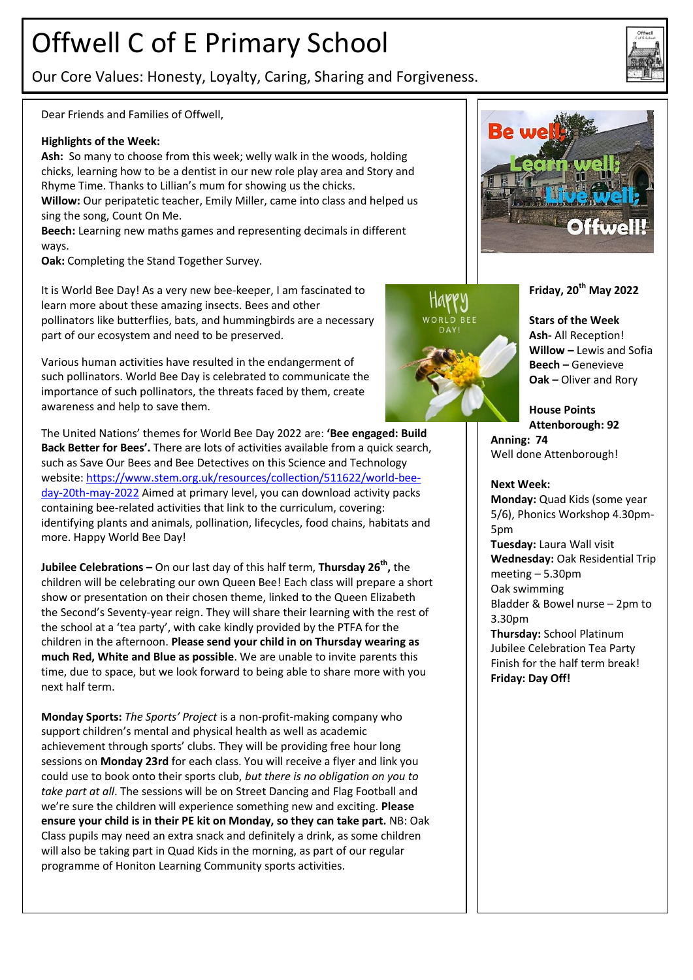# Offwell C of E Primary School

Our Core Values: Honesty, Loyalty, Caring, Sharing and Forgiveness.

Dear Friends and Families of Offwell,

#### **Highlights of the Week:**

**Ash:** So many to choose from this week; welly walk in the woods, holding chicks, learning how to be a dentist in our new role play area and Story and Rhyme Time. Thanks to Lillian's mum for showing us the chicks. **Willow:** Our peripatetic teacher, Emily Miller, came into class and helped us

sing the song, Count On Me. **Beech:** Learning new maths games and representing decimals in different ways.

**Oak:** Completing the Stand Together Survey.

It is World Bee Day! As a very new bee-keeper, I am fascinated to learn more about these amazing insects. Bees and other pollinators like butterflies, bats, and hummingbirds are a necessary part of our ecosystem and need to be preserved.

Various human activities have resulted in the endangerment of such pollinators. World Bee Day is celebrated to communicate the importance of such pollinators, the threats faced by them, create awareness and help to save them.

**Stars of the Week Ash-** All Reception! **Willow –** Lewis and Sofia **Beech –** Genevieve **Oak –** Oliver and Rory

**Friday, 20th May 2022**

**House Points Attenborough: 92 Anning: 74** Well done Attenborough!

**Next Week:**

**Monday:** Quad Kids (some year 5/6), Phonics Workshop 4.30pm-5pm **Tuesday:** Laura Wall visit **Wednesday:** Oak Residential Trip meeting – 5.30pm Oak swimming Bladder & Bowel nurse – 2pm to 3.30pm **Thursday:** School Platinum Jubilee Celebration Tea Party Finish for the half term break! **Friday: Day Off!**



**Jubilee Celebrations –** On our last day of this half term, **Thursday 26th ,** the children will be celebrating our own Queen Bee! Each class will prepare a short show or presentation on their chosen theme, linked to the Queen Elizabeth the Second's Seventy-year reign. They will share their learning with the rest of the school at a 'tea party', with cake kindly provided by the PTFA for the children in the afternoon. **Please send your child in on Thursday wearing as much Red, White and Blue as possible**. We are unable to invite parents this time, due to space, but we look forward to being able to share more with you next half term.

**Monday Sports:** *The Sports' Project* is a non-profit-making company who support children's mental and physical health as well as academic achievement through sports' clubs. They will be providing free hour long sessions on **Monday 23rd** for each class. You will receive a flyer and link you could use to book onto their sports club, *but there is no obligation on you to take part at all*. The sessions will be on Street Dancing and Flag Football and we're sure the children will experience something new and exciting. **Please ensure your child is in their PE kit on Monday, so they can take part.** NB: Oak Class pupils may need an extra snack and definitely a drink, as some children will also be taking part in Quad Kids in the morning, as part of our regular programme of Honiton Learning Community sports activities.